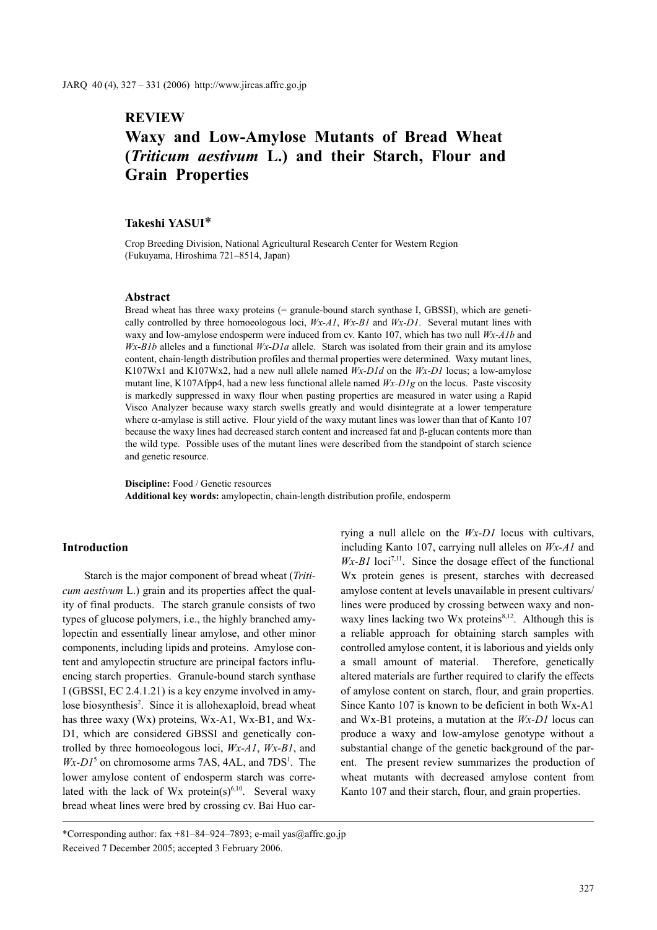## **REVIEW**

# **Waxy and Low-Amylose Mutants of Bread Wheat (***Triticum aestivum* **L.) and their Starch, Flour and Grain Properties**

## **Takeshi YASUI**\*

Crop Breeding Division, National Agricultural Research Center for Western Region (Fukuyama, Hiroshima 721–8514, Japan)

#### **Abstract**

Bread wheat has three waxy proteins (= granule-bound starch synthase I, GBSSI), which are genetically controlled by three homoeologous loci, *Wx-A1*, *Wx-B1* and *Wx-D1*. Several mutant lines with waxy and low-amylose endosperm were induced from cv. Kanto 107, which has two null *Wx-A1b* and *Wx-B1b* alleles and a functional *Wx-D1a* allele. Starch was isolated from their grain and its amylose content, chain-length distribution profiles and thermal properties were determined. Waxy mutant lines, K107Wx1 and K107Wx2, had a new null allele named *Wx-D1d* on the *Wx-D1* locus; a low-amylose mutant line, K107Afpp4, had a new less functional allele named *Wx-D1g* on the locus. Paste viscosity is markedly suppressed in waxy flour when pasting properties are measured in water using a Rapid Visco Analyzer because waxy starch swells greatly and would disintegrate at a lower temperature where α-amylase is still active. Flour yield of the waxy mutant lines was lower than that of Kanto 107 because the waxy lines had decreased starch content and increased fat and β-glucan contents more than the wild type. Possible uses of the mutant lines were described from the standpoint of starch science and genetic resource.

**Discipline:** Food / Genetic resources **Additional key words:** amylopectin, chain-length distribution profile, endosperm

### **Introduction**

Starch is the major component of bread wheat (*Triticum aestivum* L.) grain and its properties affect the quality of final products. The starch granule consists of two types of glucose polymers, i.e., the highly branched amylopectin and essentially linear amylose, and other minor components, including lipids and proteins. Amylose content and amylopectin structure are principal factors influencing starch properties. Granule-bound starch synthase I (GBSSI, EC 2.4.1.21) is a key enzyme involved in amylose biosynthesis<sup>2</sup>. Since it is allohexaploid, bread wheat has three waxy (Wx) proteins, Wx-A1, Wx-B1, and Wx-D1, which are considered GBSSI and genetically controlled by three homoeologous loci, *Wx-A1*, *Wx-B1*, and  $Wx-D1<sup>5</sup>$  on chromosome arms 7AS, 4AL, and 7DS<sup>1</sup>. The lower amylose content of endosperm starch was correlated with the lack of Wx protein(s)<sup>6,10</sup>. Several waxy bread wheat lines were bred by crossing cv. Bai Huo carrying a null allele on the *Wx-D1* locus with cultivars, including Kanto 107, carrying null alleles on *Wx-A1* and  $Wx-B1$  loci<sup>7,11</sup>. Since the dosage effect of the functional Wx protein genes is present, starches with decreased amylose content at levels unavailable in present cultivars/ lines were produced by crossing between waxy and nonwaxy lines lacking two Wx proteins $8,12$ . Although this is a reliable approach for obtaining starch samples with controlled amylose content, it is laborious and yields only a small amount of material. Therefore, genetically altered materials are further required to clarify the effects of amylose content on starch, flour, and grain properties. Since Kanto 107 is known to be deficient in both Wx-A1 and Wx-B1 proteins, a mutation at the *Wx-D1* locus can produce a waxy and low-amylose genotype without a substantial change of the genetic background of the parent. The present review summarizes the production of wheat mutants with decreased amylose content from Kanto 107 and their starch, flour, and grain properties.

<sup>\*</sup>Corresponding author:  $\frac{24-84-924-7893}{e}$ ; e-mail yas@affrc.go.jp Received 7 December 2005; accepted 3 February 2006.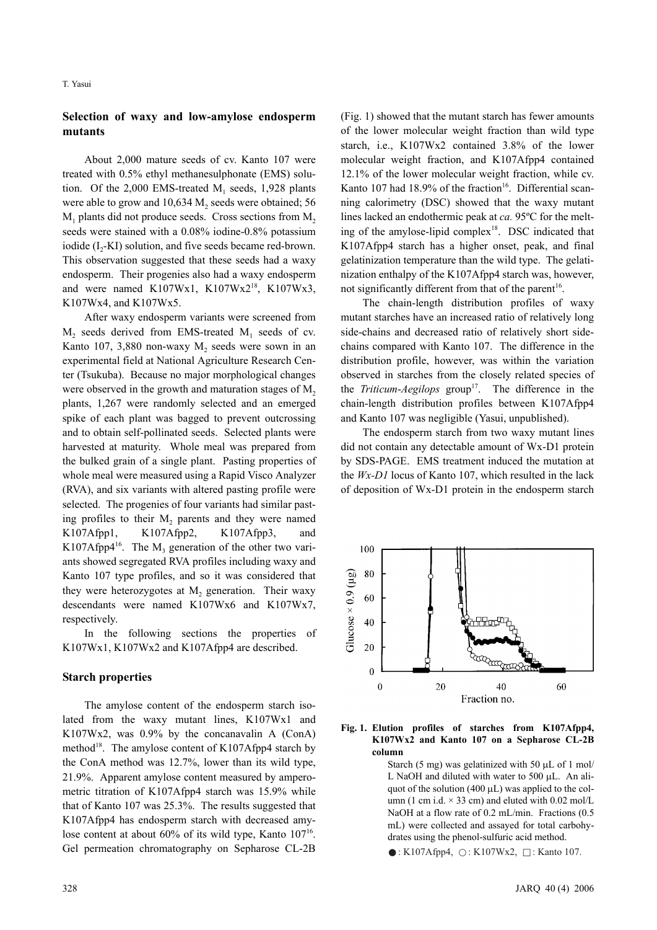## **Selection of waxy and low-amylose endosperm mutants**

About 2,000 mature seeds of cv. Kanto 107 were treated with 0.5% ethyl methanesulphonate (EMS) solution. Of the  $2,000$  EMS-treated M<sub>1</sub> seeds, 1,928 plants were able to grow and  $10,634$  M<sub>2</sub> seeds were obtained; 56  $M_1$  plants did not produce seeds. Cross sections from  $M_2$ seeds were stained with a 0.08% iodine-0.8% potassium iodide (I<sub>2</sub>-KI) solution, and five seeds became red-brown. This observation suggested that these seeds had a waxy endosperm. Their progenies also had a waxy endosperm and were named  $K107Wx1$ ,  $K107Wx2^{18}$ ,  $K107Wx3$ , K107Wx4, and K107Wx5.

After waxy endosperm variants were screened from  $M<sub>2</sub>$  seeds derived from EMS-treated  $M<sub>1</sub>$  seeds of cv. Kanto 107, 3,880 non-waxy  $M<sub>2</sub>$  seeds were sown in an experimental field at National Agriculture Research Center (Tsukuba). Because no major morphological changes were observed in the growth and maturation stages of  $M<sub>2</sub>$ plants, 1,267 were randomly selected and an emerged spike of each plant was bagged to prevent outcrossing and to obtain self-pollinated seeds. Selected plants were harvested at maturity. Whole meal was prepared from the bulked grain of a single plant. Pasting properties of whole meal were measured using a Rapid Visco Analyzer (RVA), and six variants with altered pasting profile were selected. The progenies of four variants had similar pasting profiles to their M<sub>2</sub> parents and they were named K107Afpp1, K107Afpp2, K107Afpp3, and K107Afpp $4^{16}$ . The M<sub>3</sub> generation of the other two variants showed segregated RVA profiles including waxy and Kanto 107 type profiles, and so it was considered that they were heterozygotes at  $M<sub>2</sub>$  generation. Their waxy descendants were named K107Wx6 and K107Wx7, respectively.

In the following sections the properties of K107Wx1, K107Wx2 and K107Afpp4 are described.

## **Starch properties**

The amylose content of the endosperm starch isolated from the waxy mutant lines, K107Wx1 and K107Wx2, was 0.9% by the concanavalin A (ConA) method<sup>18</sup>. The amylose content of K107Afpp4 starch by the ConA method was 12.7%, lower than its wild type, 21.9%. Apparent amylose content measured by amperometric titration of K107Afpp4 starch was 15.9% while that of Kanto 107 was 25.3%. The results suggested that K107Afpp4 has endosperm starch with decreased amylose content at about  $60\%$  of its wild type, Kanto  $107^{16}$ . Gel permeation chromatography on Sepharose CL-2B

(Fig. 1) showed that the mutant starch has fewer amounts of the lower molecular weight fraction than wild type starch, i.e., K107Wx2 contained 3.8% of the lower molecular weight fraction, and K107Afpp4 contained 12.1% of the lower molecular weight fraction, while cv. Kanto 107 had  $18.9\%$  of the fraction<sup>16</sup>. Differential scanning calorimetry (DSC) showed that the waxy mutant lines lacked an endothermic peak at *ca.* 95ºC for the melting of the amylose-lipid complex $18$ . DSC indicated that K107Afpp4 starch has a higher onset, peak, and final gelatinization temperature than the wild type. The gelatinization enthalpy of the K107Afpp4 starch was, however, not significantly different from that of the parent<sup>16</sup>.

The chain-length distribution profiles of waxy mutant starches have an increased ratio of relatively long side-chains and decreased ratio of relatively short sidechains compared with Kanto 107. The difference in the distribution profile, however, was within the variation observed in starches from the closely related species of the *Triticum-Aegilops* group<sup>17</sup>. The difference in the chain-length distribution profiles between K107Afpp4 and Kanto 107 was negligible (Yasui, unpublished).

The endosperm starch from two waxy mutant lines did not contain any detectable amount of Wx-D1 protein by SDS-PAGE. EMS treatment induced the mutation at the *Wx-D1* locus of Kanto 107, which resulted in the lack of deposition of Wx-D1 protein in the endosperm starch



#### **Fig. 1. Elution profiles of starches from K107Afpp4, K107Wx2 and Kanto 107 on a Sepharose CL-2B column**

Starch (5 mg) was gelatinized with 50  $\mu$ L of 1 mol/ L NaOH and diluted with water to 500 μL. An aliquot of the solution (400 μL) was applied to the column (1 cm i.d.  $\times$  33 cm) and eluted with 0.02 mol/L NaOH at a flow rate of 0.2 mL/min. Fractions (0.5 mL) were collected and assayed for total carbohydrates using the phenol-sulfuric acid method.

 $\bullet$ : K107Afpp4,  $\circ$ : K107Wx2,  $\Box$ : Kanto 107.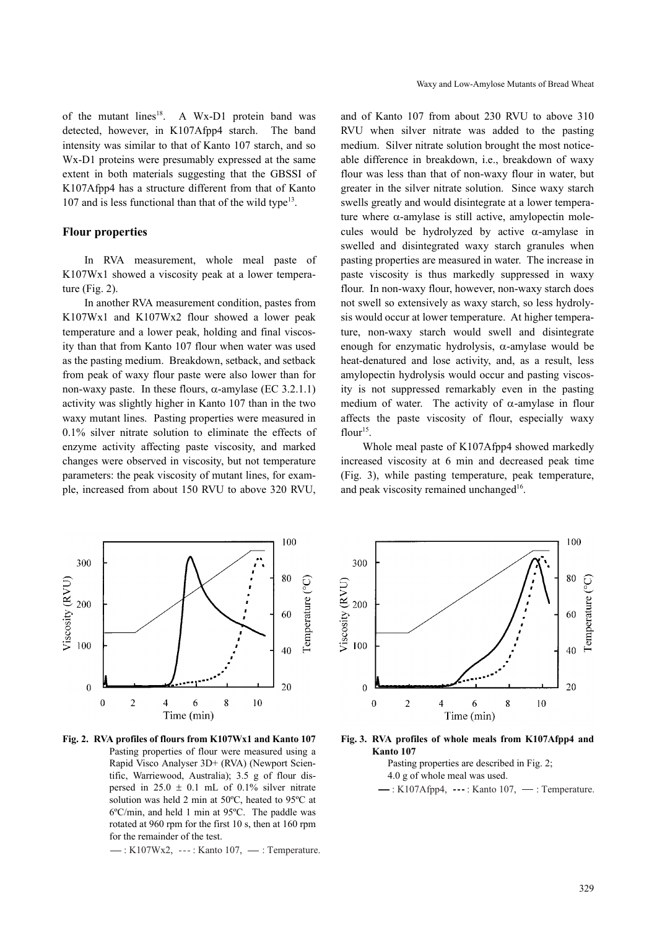of the mutant lines<sup>18</sup>. A Wx-D1 protein band was detected, however, in K107Afpp4 starch. The band intensity was similar to that of Kanto 107 starch, and so Wx-D1 proteins were presumably expressed at the same extent in both materials suggesting that the GBSSI of K107Afpp4 has a structure different from that of Kanto 107 and is less functional than that of the wild type<sup>13</sup>.

#### **Flour properties**

In RVA measurement, whole meal paste of K107Wx1 showed a viscosity peak at a lower temperature (Fig. 2).

In another RVA measurement condition, pastes from K107Wx1 and K107Wx2 flour showed a lower peak temperature and a lower peak, holding and final viscosity than that from Kanto 107 flour when water was used as the pasting medium. Breakdown, setback, and setback from peak of waxy flour paste were also lower than for non-waxy paste. In these flours,  $\alpha$ -amylase (EC 3.2.1.1) activity was slightly higher in Kanto 107 than in the two waxy mutant lines. Pasting properties were measured in 0.1% silver nitrate solution to eliminate the effects of enzyme activity affecting paste viscosity, and marked changes were observed in viscosity, but not temperature parameters: the peak viscosity of mutant lines, for example, increased from about 150 RVU to above 320 RVU, and of Kanto 107 from about 230 RVU to above 310 RVU when silver nitrate was added to the pasting medium. Silver nitrate solution brought the most noticeable difference in breakdown, i.e., breakdown of waxy flour was less than that of non-waxy flour in water, but greater in the silver nitrate solution. Since waxy starch swells greatly and would disintegrate at a lower temperature where  $\alpha$ -amylase is still active, amylopectin molecules would be hydrolyzed by active  $\alpha$ -amylase in swelled and disintegrated waxy starch granules when pasting properties are measured in water. The increase in paste viscosity is thus markedly suppressed in waxy flour. In non-waxy flour, however, non-waxy starch does not swell so extensively as waxy starch, so less hydrolysis would occur at lower temperature. At higher temperature, non-waxy starch would swell and disintegrate enough for enzymatic hydrolysis,  $\alpha$ -amylase would be heat-denatured and lose activity, and, as a result, less amylopectin hydrolysis would occur and pasting viscosity is not suppressed remarkably even in the pasting medium of water. The activity of  $\alpha$ -amylase in flour affects the paste viscosity of flour, especially waxy flour $15$ .

Whole meal paste of K107Afpp4 showed markedly increased viscosity at 6 min and decreased peak time (Fig. 3), while pasting temperature, peak temperature, and peak viscosity remained unchanged $16$ .



**Fig. 2. RVA profiles of flours from K107Wx1 and Kanto 107** Pasting properties of flour were measured using a Rapid Visco Analyser 3D+ (RVA) (Newport Scientific, Warriewood, Australia); 3.5 g of flour dispersed in  $25.0 \pm 0.1$  mL of 0.1% silver nitrate solution was held 2 min at 50ºC, heated to 95ºC at 6ºC/min, and held 1 min at 95ºC. The paddle was rotated at 960 rpm for the first 10 s, then at 160 rpm for the remainder of the test.

 $\rightarrow$ : K107Wx2,  $\cdots$ : Kanto 107,  $\cdots$ : Temperature.



**Fig. 3. RVA profiles of whole meals from K107Afpp4 and Kanto 107** 

Pasting properties are described in Fig. 2; 4.0 g of whole meal was used.

 $\rightarrow$ : K107Afpp4,  $\cdots$ : Kanto 107,  $\rightarrow$ : Temperature.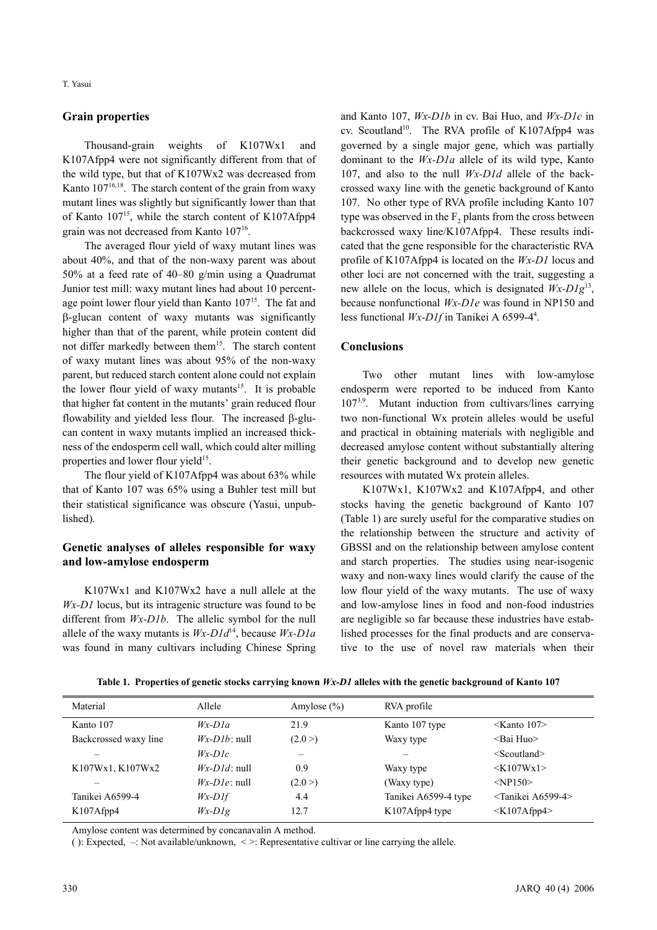## **Grain properties**

Thousand-grain weights of K107Wx1 and K107Afpp4 were not significantly different from that of the wild type, but that of K107Wx2 was decreased from Kanto  $107^{16,18}$ . The starch content of the grain from waxy mutant lines was slightly but significantly lower than that of Kanto  $107^{15}$ , while the starch content of K107Afpp4 grain was not decreased from Kanto 10716.

The averaged flour yield of waxy mutant lines was about 40%, and that of the non-waxy parent was about 50% at a feed rate of 40–80 g/min using a Quadrumat Junior test mill: waxy mutant lines had about 10 percentage point lower flour yield than Kanto 107<sup>15</sup>. The fat and β-glucan content of waxy mutants was significantly higher than that of the parent, while protein content did not differ markedly between them<sup>15</sup>. The starch content of waxy mutant lines was about 95% of the non-waxy parent, but reduced starch content alone could not explain the lower flour yield of waxy mutants<sup>15</sup>. It is probable that higher fat content in the mutants' grain reduced flour flowability and yielded less flour. The increased β-glucan content in waxy mutants implied an increased thickness of the endosperm cell wall, which could alter milling properties and lower flour yield<sup>15</sup>.

The flour yield of K107Afpp4 was about 63% while that of Kanto 107 was 65% using a Buhler test mill but their statistical significance was obscure (Yasui, unpublished).

## **Genetic analyses of alleles responsible for waxy and low-amylose endosperm**

K107Wx1 and K107Wx2 have a null allele at the *Wx-D1* locus, but its intragenic structure was found to be different from *Wx-D1b*. The allelic symbol for the null allele of the waxy mutants is *Wx-D1d*14, because *Wx-D1a* was found in many cultivars including Chinese Spring and Kanto 107, *Wx-D1b* in cv. Bai Huo, and *Wx-D1c* in cv. Scoutland<sup>10</sup>. The RVA profile of K107Afpp4 was governed by a single major gene, which was partially dominant to the *Wx-D1a* allele of its wild type, Kanto 107, and also to the null *Wx-D1d* allele of the backcrossed waxy line with the genetic background of Kanto 107. No other type of RVA profile including Kanto 107 type was observed in the  $F<sub>2</sub>$  plants from the cross between backcrossed waxy line/K107Afpp4. These results indicated that the gene responsible for the characteristic RVA profile of K107Afpp4 is located on the *Wx-D1* locus and other loci are not concerned with the trait, suggesting a new allele on the locus, which is designated *Wx-D1g*13, because nonfunctional *Wx-D1e* was found in NP150 and less functional *Wx-D1f* in Tanikei A 6599-4<sup>4</sup>.

## **Conclusions**

Two other mutant lines with low-amylose endosperm were reported to be induced from Kanto  $107^{3,9}$ . Mutant induction from cultivars/lines carrying two non-functional Wx protein alleles would be useful and practical in obtaining materials with negligible and decreased amylose content without substantially altering their genetic background and to develop new genetic resources with mutated Wx protein alleles.

K107Wx1, K107Wx2 and K107Afpp4, and other stocks having the genetic background of Kanto 107 (Table 1) are surely useful for the comparative studies on the relationship between the structure and activity of GBSSI and on the relationship between amylose content and starch properties. The studies using near-isogenic waxy and non-waxy lines would clarify the cause of the low flour yield of the waxy mutants. The use of waxy and low-amylose lines in food and non-food industries are negligible so far because these industries have established processes for the final products and are conservative to the use of novel raw materials when their

| Material                 | Allele          | Amylose $(\% )$ | RVA profile          |                                |
|--------------------------|-----------------|-----------------|----------------------|--------------------------------|
| Kanto 107                | $Wx-D1a$        | 21.9            | Kanto 107 type       | $\leq$ Kanto 107>              |
| Backcrossed waxy line    | $Wx-D1b$ : null | (2.0)           | Waxy type            | <bai huo=""></bai>             |
| $\overline{\phantom{m}}$ | $Wx-D1c$        | —               |                      | $<$ Scoutland $>$              |
| K107Wx1, K107Wx2         | $Wx-D1d$ : null | 0.9             | Waxy type            | $\langle K107Wx1\rangle$       |
|                          | $Wx-D1e$ : null | (2.0)           | (Waxy type)          | $<$ NP150 $>$                  |
| Tanikei A6599-4          | $Wx-D1f$        | 4.4             | Tanikei A6599-4 type | <tanikei a6599-4=""></tanikei> |
| K107Afpp4                | $Wx-D1g$        | 12.7            | K107Afpp4 type       | $\langle$ K107Afpp4>           |
|                          |                 |                 |                      |                                |

**Table 1. Properties of genetic stocks carrying known** *Wx-D1* **alleles with the genetic background of Kanto 107**

Amylose content was determined by concanavalin A method.

( ): Expected, –: Not available/unknown, < >: Representative cultivar or line carrying the allele.